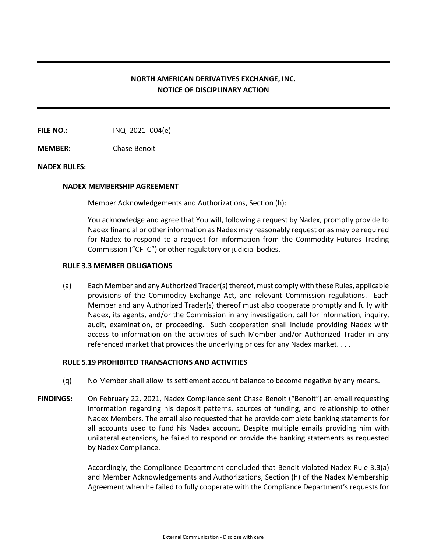# **NORTH AMERICAN DERIVATIVES EXCHANGE, INC. NOTICE OF DISCIPLINARY ACTION**

**FILE NO.:** INQ 2021 004(e)

**MEMBER:** Chase Benoit

## **NADEX RULES:**

#### **NADEX MEMBERSHIP AGREEMENT**

Member Acknowledgements and Authorizations, Section (h):

You acknowledge and agree that You will, following a request by Nadex, promptly provide to Nadex financial or other information as Nadex may reasonably request or as may be required for Nadex to respond to a request for information from the Commodity Futures Trading Commission ("CFTC") or other regulatory or judicial bodies.

#### **RULE 3.3 MEMBER OBLIGATIONS**

(a) Each Member and any Authorized Trader(s) thereof, must comply with these Rules, applicable provisions of the Commodity Exchange Act, and relevant Commission regulations. Each Member and any Authorized Trader(s) thereof must also cooperate promptly and fully with Nadex, its agents, and/or the Commission in any investigation, call for information, inquiry, audit, examination, or proceeding. Such cooperation shall include providing Nadex with access to information on the activities of such Member and/or Authorized Trader in any referenced market that provides the underlying prices for any Nadex market. . . .

## **RULE 5.19 PROHIBITED TRANSACTIONS AND ACTIVITIES**

- (q) No Member shall allow its settlement account balance to become negative by any means.
- **FINDINGS:** On February 22, 2021, Nadex Compliance sent Chase Benoit ("Benoit") an email requesting information regarding his deposit patterns, sources of funding, and relationship to other Nadex Members. The email also requested that he provide complete banking statements for all accounts used to fund his Nadex account. Despite multiple emails providing him with unilateral extensions, he failed to respond or provide the banking statements as requested by Nadex Compliance.

Accordingly, the Compliance Department concluded that Benoit violated Nadex Rule 3.3(a) and Member Acknowledgements and Authorizations, Section (h) of the Nadex Membership Agreement when he failed to fully cooperate with the Compliance Department's requests for